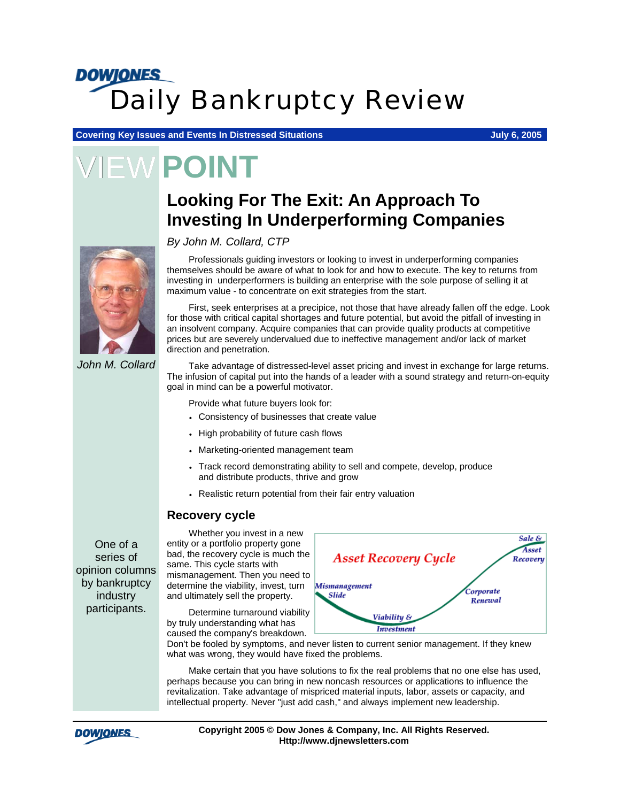## **DOWJONES** *Daily Bankruptcy Review*

**Covering Key Issues and Events In Distressed Situations Group Covering Key Issues 2005** 

**EW POINT** 

### **Looking For The Exit: An Approach To Investing In Underperforming Companies**

#### *By John M. Collard, CTP*

Professionals guiding investors or looking to invest in underperforming companies themselves should be aware of what to look for and how to execute. The key to returns from investing in underperformers is building an enterprise with the sole purpose of selling it at maximum value - to concentrate on exit strategies from the start.

First, seek enterprises at a precipice, not those that have already fallen off the edge. Look for those with critical capital shortages and future potential, but avoid the pitfall of investing in an insolvent company. Acquire companies that can provide quality products at competitive prices but are severely undervalued due to ineffective management and/or lack of market direction and penetration.

*John M. Collard* 

Take advantage of distressed-level asset pricing and invest in exchange for large returns. The infusion of capital put into the hands of a leader with a sound strategy and return-on-equity goal in mind can be a powerful motivator.

Provide what future buyers look for:

- Consistency of businesses that create value
- High probability of future cash flows
- Marketing-oriented management team
- Track record demonstrating ability to sell and compete, develop, produce and distribute products, thrive and grow
- Realistic return potential from their fair entry valuation

#### **Recovery cycle**

One of a series of opinion columns by bankruptcy industry participants.

Whether you invest in a new entity or a portfolio property gone bad, the recovery cycle is much the same. This cycle starts with mismanagement. Then you need to determine the viability, invest, turn and ultimately sell the property.

Determine turnaround viability by truly understanding what has caused the company's breakdown.



Don't be fooled by symptoms, and never listen to current senior management. If they knew what was wrong, they would have fixed the problems.

Make certain that you have solutions to fix the real problems that no one else has used, perhaps because you can bring in new noncash resources or applications to influence the revitalization. Take advantage of mispriced material inputs, labor, assets or capacity, and intellectual property. Never "just add cash," and always implement new leadership.



**Copyright 2005 © Dow Jones & Company, Inc. All Rights Reserved. Http://www.djnewsletters.com**